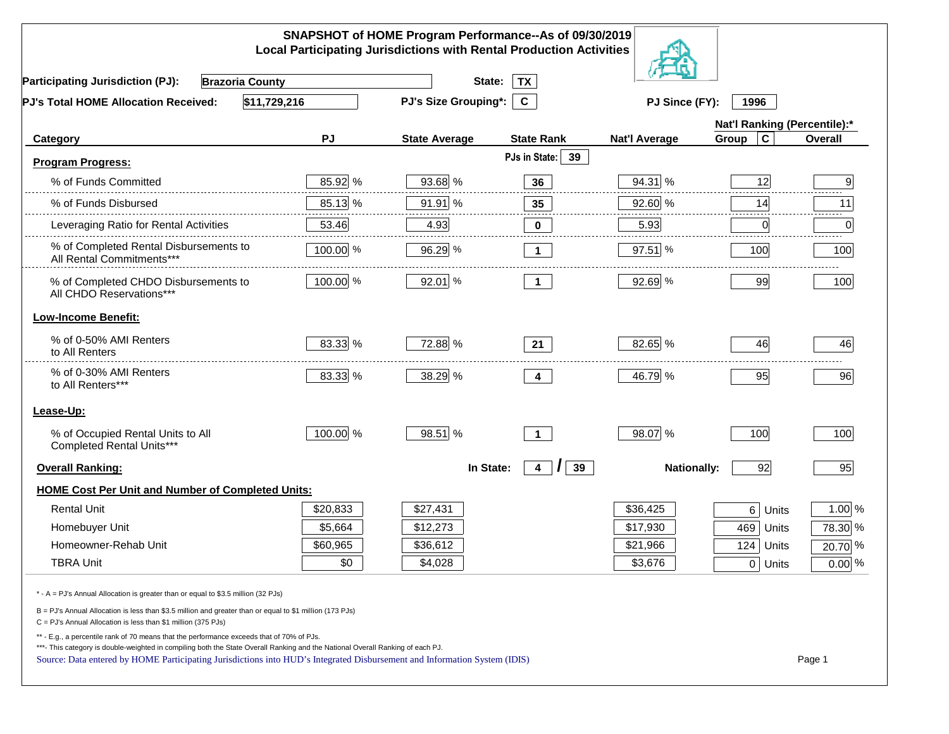| SNAPSHOT of HOME Program Performance--As of 09/30/2019<br><b>Local Participating Jurisdictions with Rental Production Activities</b>                                                                                                                                                                                                                     |          |                      |                           |                      |                              |          |  |
|----------------------------------------------------------------------------------------------------------------------------------------------------------------------------------------------------------------------------------------------------------------------------------------------------------------------------------------------------------|----------|----------------------|---------------------------|----------------------|------------------------------|----------|--|
| <b>Participating Jurisdiction (PJ):</b><br><b>Brazoria County</b>                                                                                                                                                                                                                                                                                        |          | State:               | <b>TX</b>                 |                      |                              |          |  |
| \$11,729,216<br>PJ's Total HOME Allocation Received:                                                                                                                                                                                                                                                                                                     |          | PJ's Size Grouping*: | $\mathbf{c}$              | PJ Since (FY):       | 1996                         |          |  |
|                                                                                                                                                                                                                                                                                                                                                          |          |                      |                           |                      | Nat'l Ranking (Percentile):* |          |  |
| Category                                                                                                                                                                                                                                                                                                                                                 | PJ       | <b>State Average</b> | <b>State Rank</b>         | <b>Nat'l Average</b> | $\mathbf c$<br>Group         | Overall  |  |
| <b>Program Progress:</b>                                                                                                                                                                                                                                                                                                                                 |          |                      | PJs in State:<br>39       |                      |                              |          |  |
| % of Funds Committed                                                                                                                                                                                                                                                                                                                                     | 85.92 %  | 93.68 %              | 36                        | 94.31 %              | 12                           | 9        |  |
| % of Funds Disbursed                                                                                                                                                                                                                                                                                                                                     | 85.13 %  | 91.91 %              | 35                        | 92.60 %              | 14                           | 11       |  |
| Leveraging Ratio for Rental Activities                                                                                                                                                                                                                                                                                                                   | 53.46    | 4.93                 | 0                         | 5.93                 | 0                            | .<br>0   |  |
| % of Completed Rental Disbursements to<br>All Rental Commitments***                                                                                                                                                                                                                                                                                      | 100.00 % | 96.29 %              | $\mathbf{1}$              | 97.51 %              | 100                          | 100      |  |
| % of Completed CHDO Disbursements to<br>All CHDO Reservations***                                                                                                                                                                                                                                                                                         | 100.00 % | 92.01 %              | $\overline{1}$            | 92.69 %              | 99                           | 100      |  |
| <b>Low-Income Benefit:</b>                                                                                                                                                                                                                                                                                                                               |          |                      |                           |                      |                              |          |  |
| % of 0-50% AMI Renters<br>to All Renters                                                                                                                                                                                                                                                                                                                 | 83.33 %  | 72.88 %              | 21                        | 82.65 %              | 46                           | 46       |  |
| % of 0-30% AMI Renters<br>to All Renters***                                                                                                                                                                                                                                                                                                              | 83.33 %  | 38.29 %              | 4                         | 46.79 %              | 95                           | 96       |  |
| Lease-Up:                                                                                                                                                                                                                                                                                                                                                |          |                      |                           |                      |                              |          |  |
| % of Occupied Rental Units to All<br>Completed Rental Units***                                                                                                                                                                                                                                                                                           | 100.00 % | 98.51 %              | $\overline{1}$            | 98.07 %              | 100                          | 100      |  |
| <b>Overall Ranking:</b>                                                                                                                                                                                                                                                                                                                                  |          | In State:            | 39<br>$\overline{4}$<br>I | <b>Nationally:</b>   | 92                           | 95       |  |
| <b>HOME Cost Per Unit and Number of Completed Units:</b>                                                                                                                                                                                                                                                                                                 |          |                      |                           |                      |                              |          |  |
| <b>Rental Unit</b>                                                                                                                                                                                                                                                                                                                                       | \$20,833 | \$27,431             |                           | \$36,425             | 6 <br>Units                  | $1.00\%$ |  |
| Homebuyer Unit                                                                                                                                                                                                                                                                                                                                           | \$5,664  | \$12,273             |                           | \$17,930             | 469 Units                    | 78.30 %  |  |
| Homeowner-Rehab Unit                                                                                                                                                                                                                                                                                                                                     | \$60,965 | \$36,612             |                           | \$21,966             | 124 Units                    | 20.70 %  |  |
| <b>TBRA Unit</b>                                                                                                                                                                                                                                                                                                                                         | \$0      | \$4,028              |                           | \$3,676              | $0$ Units                    | $0.00\%$ |  |
| * - A = PJ's Annual Allocation is greater than or equal to \$3.5 million (32 PJs)                                                                                                                                                                                                                                                                        |          |                      |                           |                      |                              |          |  |
| B = PJ's Annual Allocation is less than \$3.5 million and greater than or equal to \$1 million (173 PJs)<br>$C = PJ's$ Annual Allocation is less than \$1 million (375 PJs)                                                                                                                                                                              |          |                      |                           |                      |                              |          |  |
| ** - E.g., a percentile rank of 70 means that the performance exceeds that of 70% of PJs.<br>***- This category is double-weighted in compiling both the State Overall Ranking and the National Overall Ranking of each PJ.<br>Source: Data entered by HOME Participating Jurisdictions into HUD's Integrated Disbursement and Information System (IDIS) |          |                      |                           |                      |                              | Page 1   |  |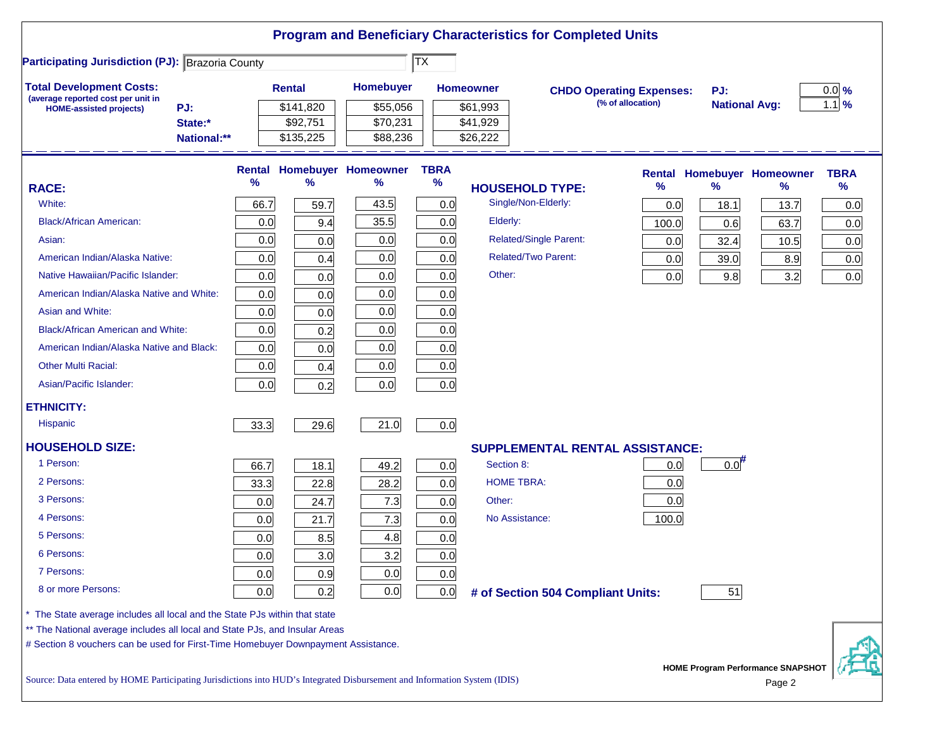|                                                                                                                           |               |               |                            |                            |            | <b>Program and Beneficiary Characteristics for Completed Units</b> |                                 |                                   |                                                    |             |
|---------------------------------------------------------------------------------------------------------------------------|---------------|---------------|----------------------------|----------------------------|------------|--------------------------------------------------------------------|---------------------------------|-----------------------------------|----------------------------------------------------|-------------|
| <b>Participating Jurisdiction (PJ): Brazoria County</b>                                                                   |               |               |                            | $ \overline{\mathsf{TX}} $ |            |                                                                    |                                 |                                   |                                                    |             |
| <b>Total Development Costs:</b>                                                                                           |               | <b>Rental</b> | <b>Homebuyer</b>           |                            | Homeowner  |                                                                    | <b>CHDO Operating Expenses:</b> | PJ:                               |                                                    | $0.0\%$     |
| (average reported cost per unit in<br>PJ:<br><b>HOME-assisted projects)</b>                                               |               | \$141,820     | \$55,056                   |                            | \$61,993   |                                                                    | (% of allocation)               | <b>National Avg:</b>              |                                                    | $1.1\%$     |
| State:*                                                                                                                   |               | \$92,751      | \$70,231                   |                            | \$41,929   |                                                                    |                                 |                                   |                                                    |             |
| National:**                                                                                                               |               | \$135,225     | \$88,236                   |                            | \$26,222   |                                                                    |                                 |                                   |                                                    |             |
|                                                                                                                           | <b>Rental</b> |               | <b>Homebuyer Homeowner</b> | <b>TBRA</b>                |            |                                                                    |                                 | <b>Rental Homebuyer Homeowner</b> |                                                    | <b>TBRA</b> |
| <b>RACE:</b>                                                                                                              | ℅             | $\%$          | $\%$                       | $\%$                       |            | <b>HOUSEHOLD TYPE:</b>                                             | $\frac{9}{6}$                   | %                                 | $\%$                                               | $\%$        |
| White:                                                                                                                    | 66.7          | 59.7          | 43.5                       | 0.0                        |            | Single/Non-Elderly:                                                | 0.0                             | 18.1                              | 13.7                                               | 0.0         |
| <b>Black/African American:</b>                                                                                            | 0.0           | 9.4           | 35.5                       | 0.0                        | Elderly:   |                                                                    | 100.0                           | 0.6                               | 63.7                                               | 0.0         |
| Asian:                                                                                                                    | 0.0           | 0.0           | 0.0                        | 0.0                        |            | <b>Related/Single Parent:</b>                                      | 0.0                             | 32.4                              | 10.5                                               | 0.0         |
| American Indian/Alaska Native:                                                                                            | 0.0           | 0.4           | 0.0                        | 0.0                        |            | <b>Related/Two Parent:</b>                                         | 0.0                             | 39.0                              | 8.9                                                | 0.0         |
| Native Hawaiian/Pacific Islander:                                                                                         | 0.0           | 0.0           | 0.0                        | 0.0                        | Other:     |                                                                    | 0.0                             | 9.8                               | 3.2                                                | 0.0         |
| American Indian/Alaska Native and White:                                                                                  | 0.0           | 0.0           | 0.0                        | 0.0                        |            |                                                                    |                                 |                                   |                                                    |             |
| Asian and White:                                                                                                          | 0.0           | 0.0           | 0.0                        | 0.0                        |            |                                                                    |                                 |                                   |                                                    |             |
| <b>Black/African American and White:</b>                                                                                  | 0.0           | 0.2           | 0.0                        | 0.0                        |            |                                                                    |                                 |                                   |                                                    |             |
| American Indian/Alaska Native and Black:                                                                                  | 0.0           | 0.0           | 0.0                        | 0.0                        |            |                                                                    |                                 |                                   |                                                    |             |
| <b>Other Multi Racial:</b>                                                                                                | 0.0           | 0.4           | 0.0                        | 0.0                        |            |                                                                    |                                 |                                   |                                                    |             |
| Asian/Pacific Islander:                                                                                                   | 0.0           | 0.2           | 0.0                        | 0.0                        |            |                                                                    |                                 |                                   |                                                    |             |
| <b>ETHNICITY:</b>                                                                                                         |               |               |                            |                            |            |                                                                    |                                 |                                   |                                                    |             |
| <b>Hispanic</b>                                                                                                           | 33.3          | 29.6          | 21.0                       | 0.0                        |            |                                                                    |                                 |                                   |                                                    |             |
| <b>HOUSEHOLD SIZE:</b>                                                                                                    |               |               |                            |                            |            | <b>SUPPLEMENTAL RENTAL ASSISTANCE:</b>                             |                                 |                                   |                                                    |             |
| 1 Person:                                                                                                                 | 66.7          | 18.1          | 49.2                       | 0.0                        | Section 8: |                                                                    | 0.0                             | $0.0$ <sup>H</sup>                |                                                    |             |
| 2 Persons:                                                                                                                | 33.3          | 22.8          | 28.2                       | 0.0                        |            | <b>HOME TBRA:</b>                                                  | 0.0                             |                                   |                                                    |             |
| 3 Persons:                                                                                                                | 0.0           | 24.7          | 7.3                        | 0.0                        | Other:     |                                                                    | 0.0                             |                                   |                                                    |             |
| 4 Persons:                                                                                                                | 0.0           | 21.7          | 7.3                        | 0.0                        |            | No Assistance:                                                     | 100.0                           |                                   |                                                    |             |
| 5 Persons:                                                                                                                | 0.0           | 8.5           | 4.8                        | 0.0                        |            |                                                                    |                                 |                                   |                                                    |             |
| 6 Persons:                                                                                                                | 0.0           | 3.0           | 3.2                        | 0.0                        |            |                                                                    |                                 |                                   |                                                    |             |
| 7 Persons:                                                                                                                | 0.0           | 0.9           | 0.0                        | 0.0                        |            |                                                                    |                                 |                                   |                                                    |             |
| 8 or more Persons:                                                                                                        | 0.0           | 0.2           | 0.0                        | 0.0                        |            | # of Section 504 Compliant Units:                                  |                                 | 51                                |                                                    |             |
| The State average includes all local and the State PJs within that state                                                  |               |               |                            |                            |            |                                                                    |                                 |                                   |                                                    |             |
| ** The National average includes all local and State PJs, and Insular Areas                                               |               |               |                            |                            |            |                                                                    |                                 |                                   |                                                    |             |
| # Section 8 vouchers can be used for First-Time Homebuyer Downpayment Assistance.                                         |               |               |                            |                            |            |                                                                    |                                 |                                   |                                                    |             |
| Source: Data entered by HOME Participating Jurisdictions into HUD's Integrated Disbursement and Information System (IDIS) |               |               |                            |                            |            |                                                                    |                                 |                                   | <b>HOME Program Performance SNAPSHOT</b><br>Page 2 |             |